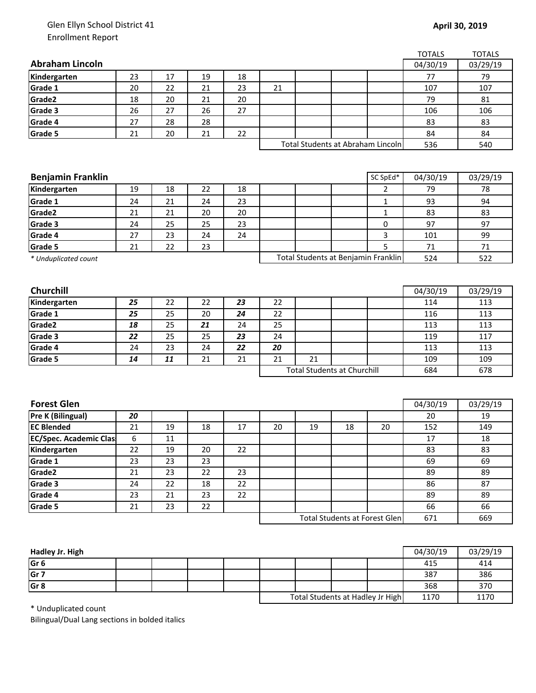## Glen Ellyn School District 41 Enrollment Report

|                               |          |          |          |          |    |                                    |    |                                     | <b>TOTALS</b> | <b>TOTALS</b> |
|-------------------------------|----------|----------|----------|----------|----|------------------------------------|----|-------------------------------------|---------------|---------------|
| <b>Abraham Lincoln</b>        |          |          |          |          |    |                                    |    |                                     | 04/30/19      | 03/29/19      |
| Kindergarten                  | 23       | 17       | 19       | 18       |    |                                    |    |                                     | 77            | 79            |
| Grade 1                       | 20       | 22       | 21       | 23       | 21 |                                    |    |                                     | 107           | 107           |
| Grade2                        | 18       | 20       | 21       | 20       |    |                                    |    |                                     | 79            | 81            |
| Grade 3                       | 26       | 27       | 26       | 27       |    |                                    |    |                                     | 106           | 106           |
| Grade 4                       | 27       | 28       | 28       |          |    |                                    |    |                                     | 83            | 83            |
| Grade 5                       | 21       | 20       | 21       | 22       |    |                                    |    |                                     | 84            | 84            |
|                               |          |          |          |          |    |                                    |    | Total Students at Abraham Lincoln   | 536           | 540           |
|                               |          |          |          |          |    |                                    |    |                                     |               |               |
|                               |          |          |          |          |    |                                    |    |                                     |               |               |
| <b>Benjamin Franklin</b>      |          |          |          |          |    |                                    |    | SC SpEd*                            | 04/30/19      | 03/29/19      |
| Kindergarten                  | 19       | 18       | 22       | 18       |    |                                    |    | 2                                   | 79            | 78            |
| Grade 1                       | 24       | 21       | 24       | 23       |    |                                    |    | 1                                   | 93            | 94            |
| Grade2                        | 21       | 21       | 20       | 20       |    |                                    |    | $\mathbf{1}$                        | 83            | 83            |
| Grade 3                       | 24       | 25       | 25       | 23       |    |                                    |    | 0                                   | 97            | 97            |
| Grade 4                       | 27       | 23       | 24       | 24       |    |                                    |    | 3                                   | 101           | 99            |
| Grade 5                       | 21       | 22       | 23       |          |    |                                    |    | 5                                   | 71            | $71\,$        |
| * Unduplicated count          |          |          |          |          |    |                                    |    | Total Students at Benjamin Franklin | 524           | 522           |
|                               |          |          |          |          |    |                                    |    |                                     |               |               |
|                               |          |          |          |          |    |                                    |    |                                     |               |               |
| Churchill                     |          |          |          |          |    |                                    |    |                                     | 04/30/19      | 03/29/19      |
| Kindergarten                  | 25       | 22       | 22       | 23       | 22 |                                    |    |                                     | 114           | 113           |
| Grade 1                       | 25       | 25       | 20       | 24       | 22 |                                    |    |                                     | 116           | 113           |
| Grade2                        | 18       | 25       | 21       | 24       | 25 |                                    |    |                                     | 113           | 113           |
| Grade 3                       | 22       | 25       | 25       | 23       | 24 |                                    |    |                                     | 119           | 117           |
| Grade 4                       | 24       | 23       | 24       | 22       | 20 |                                    |    |                                     | 113           | 113           |
| Grade 5                       | 14       | 11       | 21       | 21       | 21 | 21                                 |    |                                     | 109           | 109           |
|                               |          |          |          |          |    | <b>Total Students at Churchill</b> |    |                                     | 684           | 678           |
|                               |          |          |          |          |    |                                    |    |                                     |               |               |
| <b>Forest Glen</b>            |          |          |          |          |    |                                    |    |                                     | 04/30/19      | 03/29/19      |
| Pre K (Bilingual)             | 20       |          |          |          |    |                                    |    |                                     | 20            | 19            |
| <b>EC Blended</b>             | 21       | 19       | 18       | 17       | 20 | 19                                 | 18 | 20                                  | 152           | 149           |
| <b>EC/Spec. Academic Clas</b> | 6        | $11\,$   |          |          |    |                                    |    |                                     | $17\,$        | $18\,$        |
|                               |          |          |          |          |    |                                    |    |                                     |               |               |
| Kindergarten<br>Grade 1       | 22<br>23 | 19<br>23 | 20<br>23 | 22       |    |                                    |    |                                     | 83<br>69      | 83<br>69      |
|                               |          |          |          |          |    |                                    |    |                                     |               |               |
| Grade2                        | 21       | 23       | 22       | 23<br>22 |    |                                    |    |                                     | 89            | 89            |
| Grade 3                       | 24       | 22       | 18       |          |    |                                    |    |                                     | 86            | 87            |
| Grade 4                       | 23       | 21       | 23       | 22       |    |                                    |    |                                     | 89            | 89            |
| Grade 5                       | 21       | 23       | 22       |          |    |                                    |    |                                     | 66            | 66            |
|                               |          |          |          |          |    |                                    |    | Total Students at Forest Glen       | 671           | 669           |

| Hadley Jr. High |  |  |  |                                  | 04/30/19 | 03/29/19 |
|-----------------|--|--|--|----------------------------------|----------|----------|
| Gr <sub>6</sub> |  |  |  |                                  | 415      | 414      |
| Gr <sub>7</sub> |  |  |  |                                  | 387      | 386      |
| Gr <sub>8</sub> |  |  |  |                                  | 368      | 370      |
|                 |  |  |  | Total Students at Hadley Jr High | 1170     | 1170     |

\* Unduplicated count

Bilingual/Dual Lang sections in bolded italics